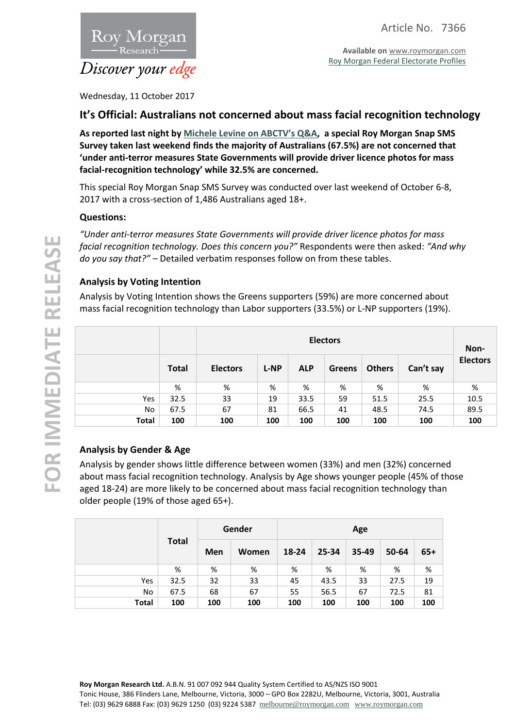

Roy Morgan Discover your edge

Wednesday, 11 October 2017

# **It's Official: Australians not concerned about mass facial recognition technology**

**As reported last night by [Michele Levine on ABCTV's Q&A](http://www.abc.net.au/tv/qanda/txt/s4725353.htm), a special Roy Morgan Snap SMS Survey taken last weekend finds the majority of Australians (67.5%) are not concerned that 'under anti-terror measures State Governments will provide driver licence photos for mass facial-recognition technology' while 32.5% are concerned.**

This special Roy Morgan Snap SMS Survey was conducted over last weekend of October 6-8, 2017 with a cross-section of 1,486 Australians aged 18+.

## **Questions:**

*"Under anti-terror measures State Governments will provide driver licence photos for mass facial recognition technology. Does this concern you?"* Respondents were then asked: *"And why do you say that?" –* Detailed verbatim responses follow on from these tables.

## **Analysis by Voting Intention**

Analysis by Voting Intention shows the Greens supporters (59%) are more concerned about mass facial recognition technology than Labor supporters (33.5%) or L-NP supporters (19%).

|              |              | <b>Electors</b> |             |            |               |               |           |                 |
|--------------|--------------|-----------------|-------------|------------|---------------|---------------|-----------|-----------------|
|              | <b>Total</b> | <b>Electors</b> | <b>L-NP</b> | <b>ALP</b> | <b>Greens</b> | <b>Others</b> | Can't say | <b>Electors</b> |
|              | %            | %               | %           | %          | %             | %             | %         | %               |
| Yes          | 32.5         | 33              | 19          | 33.5       | 59            | 51.5          | 25.5      | 10.5            |
| No           | 67.5         | 67              | 81          | 66.5       | 41            | 48.5          | 74.5      | 89.5            |
| <b>Total</b> | 100          | 100             | 100         | 100        | 100           | 100           | 100       | 100             |

## **Analysis by Gender & Age**

Analysis by gender shows little difference between women (33%) and men (32%) concerned about mass facial recognition technology. Analysis by Age shows younger people (45% of those aged 18-24) are more likely to be concerned about mass facial recognition technology than older people (19% of those aged 65+).

|           | <b>Total</b> | Gender |       | Age   |       |       |       |       |
|-----------|--------------|--------|-------|-------|-------|-------|-------|-------|
|           |              | Men    | Women | 18-24 | 25-34 | 35-49 | 50-64 | $65+$ |
|           | %            | %      | %     | %     | %     | %     | %     | %     |
| Yes       | 32.5         | 32     | 33    | 45    | 43.5  | 33    | 27.5  | 19    |
| <b>No</b> | 67.5         | 68     | 67    | 55    | 56.5  | 67    | 72.5  | 81    |
| Total     | 100          | 100    | 100   | 100   | 100   | 100   | 100   | 100   |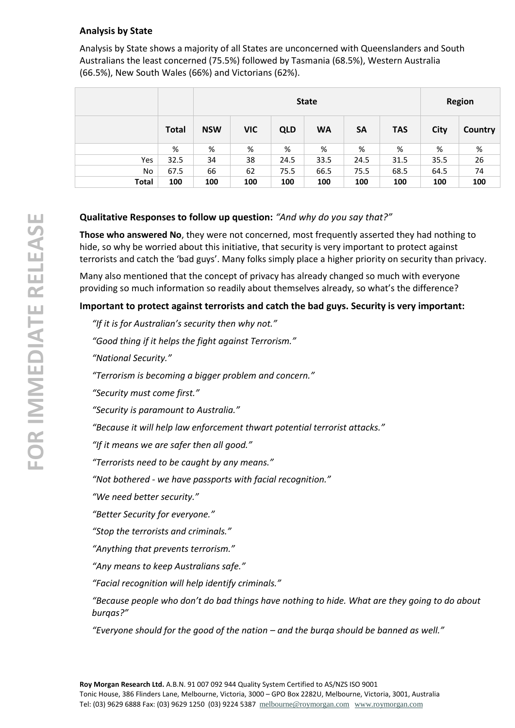# **Analysis by State**

Analysis by State shows a majority of all States are unconcerned with Queenslanders and South Australians the least concerned (75.5%) followed by Tasmania (68.5%), Western Australia (66.5%), New South Wales (66%) and Victorians (62%).

|              |              |            |            | <b>Region</b> |           |           |            |      |         |
|--------------|--------------|------------|------------|---------------|-----------|-----------|------------|------|---------|
|              | <b>Total</b> | <b>NSW</b> | <b>VIC</b> | <b>QLD</b>    | <b>WA</b> | <b>SA</b> | <b>TAS</b> | City | Country |
|              | %            | %          | %          | %             | %         | %         | %          | %    | %       |
| Yes          | 32.5         | 34         | 38         | 24.5          | 33.5      | 24.5      | 31.5       | 35.5 | 26      |
| No           | 67.5         | 66         | 62         | 75.5          | 66.5      | 75.5      | 68.5       | 64.5 | 74      |
| <b>Total</b> | 100          | 100        | 100        | 100           | 100       | 100       | 100        | 100  | 100     |

# **Qualitative Responses to follow up question:** *"And why do you say that?"*

**Those who answered No**, they were not concerned, most frequently asserted they had nothing to hide, so why be worried about this initiative, that security is very important to protect against terrorists and catch the 'bad guys'. Many folks simply place a higher priority on security than privacy.

Many also mentioned that the concept of privacy has already changed so much with everyone providing so much information so readily about themselves already, so what's the difference?

# **Important to protect against terrorists and catch the bad guys. Security is very important:**

*"If it is for Australian's security then why not."*

*"Good thing if it helps the fight against Terrorism."*

*"National Security."*

*"Terrorism is becoming a bigger problem and concern."*

*"Security must come first."*

*"Security is paramount to Australia."*

*"Because it will help law enforcement thwart potential terrorist attacks."*

*"If it means we are safer then all good."*

*"Terrorists need to be caught by any means."*

*"Not bothered - we have passports with facial recognition."*

*"We need better security."*

*"Better Security for everyone."*

*"Stop the terrorists and criminals."*

*"Anything that prevents terrorism."*

*"Any means to keep Australians safe."*

*"Facial recognition will help identify criminals."*

*"Because people who don't do bad things have nothing to hide. What are they going to do about burqas?"*

*"Everyone should for the good of the nation – and the burqa should be banned as well."*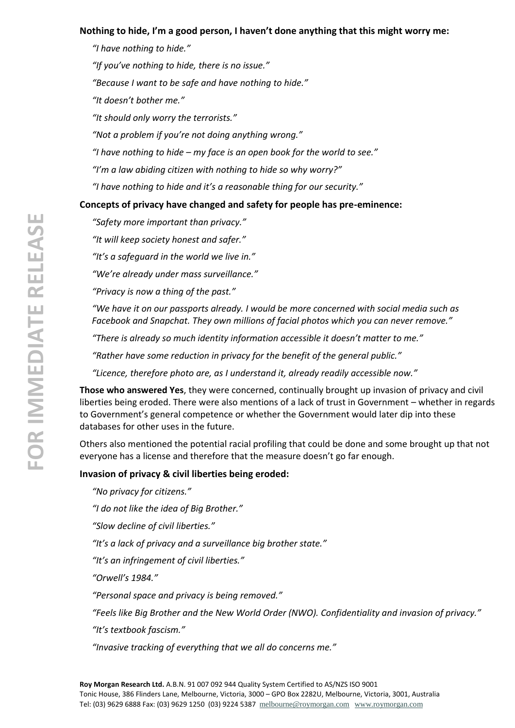# **Nothing to hide, I'm a good person, I haven't done anything that this might worry me:**

*"I have nothing to hide."*

*"If you've nothing to hide, there is no issue."*

*"Because I want to be safe and have nothing to hide."*

*"It doesn't bother me."*

*"It should only worry the terrorists."*

*"Not a problem if you're not doing anything wrong."*

*"I have nothing to hide – my face is an open book for the world to see."*

*"I'm a law abiding citizen with nothing to hide so why worry?"*

*"I have nothing to hide and it's a reasonable thing for our security."*

# **Concepts of privacy have changed and safety for people has pre-eminence:**

*"Safety more important than privacy."*

*"It will keep society honest and safer."*

*"It's a safeguard in the world we live in."*

*"We're already under mass surveillance."*

*"Privacy is now a thing of the past."*

*"We have it on our passports already. I would be more concerned with social media such as Facebook and Snapchat. They own millions of facial photos which you can never remove."*

*"There is already so much identity information accessible it doesn't matter to me."*

*"Rather have some reduction in privacy for the benefit of the general public."*

*"Licence, therefore photo are, as I understand it, already readily accessible now."*

**Those who answered Yes**, they were concerned, continually brought up invasion of privacy and civil liberties being eroded. There were also mentions of a lack of trust in Government – whether in regards to Government's general competence or whether the Government would later dip into these databases for other uses in the future.

Others also mentioned the potential racial profiling that could be done and some brought up that not everyone has a license and therefore that the measure doesn't go far enough.

## **Invasion of privacy & civil liberties being eroded:**

*"No privacy for citizens."*

*"I do not like the idea of Big Brother."*

*"Slow decline of civil liberties."*

*"It's a lack of privacy and a surveillance big brother state."*

*"It's an infringement of civil liberties."*

*"Orwell's 1984."*

*"Personal space and privacy is being removed."*

*"Feels like Big Brother and the New World Order (NWO). Confidentiality and invasion of privacy."*

*"It's textbook fascism."*

*"Invasive tracking of everything that we all do concerns me."*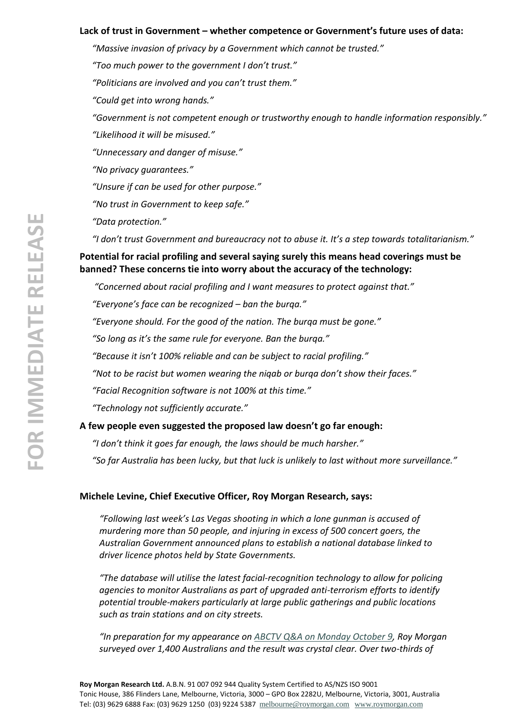#### **Lack of trust in Government – whether competence or Government's future uses of data:**

*"Massive invasion of privacy by a Government which cannot be trusted."*

*"Too much power to the government I don't trust."*

*"Politicians are involved and you can't trust them."*

*"Could get into wrong hands."*

*"Government is not competent enough or trustworthy enough to handle information responsibly."*

*"Likelihood it will be misused."*

*"Unnecessary and danger of misuse."*

*"No privacy guarantees."*

*"Unsure if can be used for other purpose."*

*"No trust in Government to keep safe."*

*"Data protection."*

*"I don't trust Government and bureaucracy not to abuse it. It's a step towards totalitarianism."*

**Potential for racial profiling and several saying surely this means head coverings must be banned? These concerns tie into worry about the accuracy of the technology:**

*"Concerned about racial profiling and I want measures to protect against that."*

*"Everyone's face can be recognized – ban the burqa."*

*"Everyone should. For the good of the nation. The burqa must be gone."*

*"So long as it's the same rule for everyone. Ban the burqa."*

*"Because it isn't 100% reliable and can be subject to racial profiling."*

*"Not to be racist but women wearing the niqab or burqa don't show their faces."*

*"Facial Recognition software is not 100% at this time."*

*"Technology not sufficiently accurate."*

#### **A few people even suggested the proposed law doesn't go far enough:**

*"I don't think it goes far enough, the laws should be much harsher."*

*"So far Australia has been lucky, but that luck is unlikely to last without more surveillance."*

#### **Michele Levine, Chief Executive Officer, Roy Morgan Research, says:**

*"Following last week's Las Vegas shooting in which a lone gunman is accused of murdering more than 50 people, and injuring in excess of 500 concert goers, the Australian Government announced plans to establish a national database linked to driver licence photos held by State Governments.*

*"The database will utilise the latest facial-recognition technology to allow for policing agencies to monitor Australians as part of upgraded anti-terrorism efforts to identify potential trouble-makers particularly at large public gatherings and public locations such as train stations and on city streets.*

*"In preparation for my appearance on ABCTV [Q&A on Monday October 9,](http://www.abc.net.au/tv/qanda/txt/s4725353.htm) Roy Morgan surveyed over 1,400 Australians and the result was crystal clear. Over two-thirds of*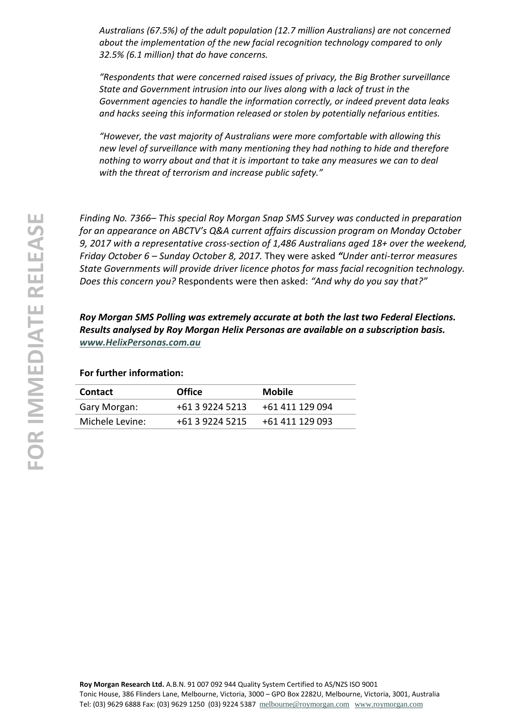*Australians (67.5%) of the adult population (12.7 million Australians) are not concerned about the implementation of the new facial recognition technology compared to only 32.5% (6.1 million) that do have concerns.*

*"Respondents that were concerned raised issues of privacy, the Big Brother surveillance State and Government intrusion into our lives along with a lack of trust in the Government agencies to handle the information correctly, or indeed prevent data leaks and hacks seeing this information released or stolen by potentially nefarious entities.*

*"However, the vast majority of Australians were more comfortable with allowing this new level of surveillance with many mentioning they had nothing to hide and therefore nothing to worry about and that it is important to take any measures we can to deal with the threat of terrorism and increase public safety."*

*Finding No. 7366– This special Roy Morgan Snap SMS Survey was conducted in preparation for an appearance on ABCTV's Q&A current affairs discussion program on Monday October 9, 2017 with a representative cross-section of 1,486 Australians aged 18+ over the weekend, Friday October 6 – Sunday October 8, 2017.* They were asked *"Under anti-terror measures State Governments will provide driver licence photos for mass facial recognition technology. Does this concern you?* Respondents were then asked: *"And why do you say that?"*

*Roy Morgan SMS Polling was extremely accurate at both the last two Federal Elections. Results analysed by Roy Morgan Helix Personas are available on a subscription basis. [www.HelixPersonas.com.au](http://www.helixpersonas.com.au/)*

**For further information:**

| <b>Contact</b>  | <b>Office</b>   | <b>Mobile</b>   |
|-----------------|-----------------|-----------------|
| Gary Morgan:    | +61 3 9224 5213 | +61 411 129 094 |
| Michele Levine: | +61 3 9224 5215 | +61 411 129 093 |
|                 |                 |                 |

**Roy Morgan Research Ltd.** A.B.N. 91 007 092 944 Quality System Certified to AS/NZS ISO 9001 Tonic House, 386 Flinders Lane, Melbourne, Victoria, 3000 – GPO Box 2282U, Melbourne, Victoria, 3001, Australia Tel: (03) 9629 6888 Fax: (03) 9629 1250 (03) 9224 5387 [melbourne@roymorgan.com](mailto:melbourne@roymorgan.com) [www.roymorgan.com](http://www.roymorgan.com/)